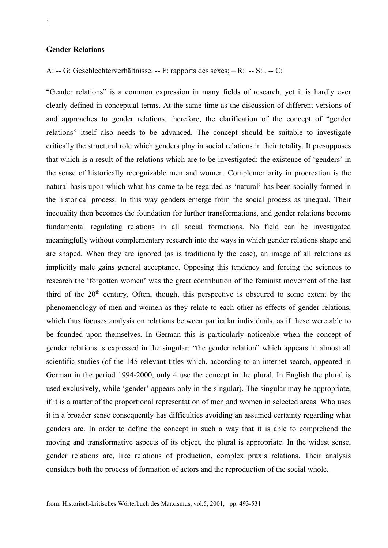## **Gender Relations**

## A: -- G: Geschlechterverhältnisse. -- F: rapports des sexes; – R: -- S: . -- C:

"Gender relations" is a common expression in many fields of research, yet it is hardly ever clearly defined in conceptual terms. At the same time as the discussion of different versions of and approaches to gender relations, therefore, the clarification of the concept of "gender relations" itself also needs to be advanced. The concept should be suitable to investigate critically the structural role which genders play in social relations in their totality. It presupposes that which is a result of the relations which are to be investigated: the existence of 'genders' in the sense of historically recognizable men and women. Complementarity in procreation is the natural basis upon which what has come to be regarded as 'natural' has been socially formed in the historical process. In this way genders emerge from the social process as unequal. Their inequality then becomes the foundation for further transformations, and gender relations become fundamental regulating relations in all social formations. No field can be investigated meaningfully without complementary research into the ways in which gender relations shape and are shaped. When they are ignored (as is traditionally the case), an image of all relations as implicitly male gains general acceptance. Opposing this tendency and forcing the sciences to research the 'forgotten women' was the great contribution of the feminist movement of the last third of the  $20<sup>th</sup>$  century. Often, though, this perspective is obscured to some extent by the phenomenology of men and women as they relate to each other as effects of gender relations, which thus focuses analysis on relations between particular individuals, as if these were able to be founded upon themselves. In German this is particularly noticeable when the concept of gender relations is expressed in the singular: "the gender relation" which appears in almost all scientific studies (of the 145 relevant titles which, according to an internet search, appeared in German in the period 1994-2000, only 4 use the concept in the plural. In English the plural is used exclusively, while 'gender' appears only in the singular). The singular may be appropriate, if it is a matter of the proportional representation of men and women in selected areas. Who uses it in a broader sense consequently has difficulties avoiding an assumed certainty regarding what genders are. In order to define the concept in such a way that it is able to comprehend the moving and transformative aspects of its object, the plural is appropriate. In the widest sense, gender relations are, like relations of production, complex praxis relations. Their analysis considers both the process of formation of actors and the reproduction of the social whole.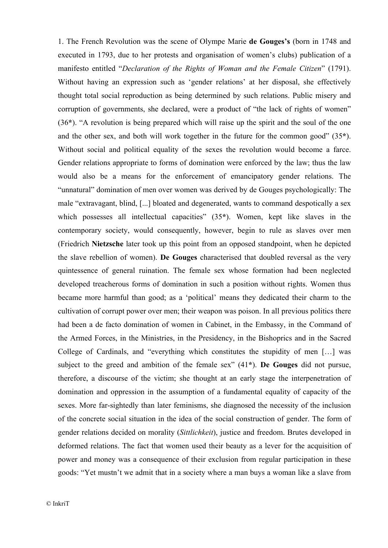1. The French Revolution was the scene of Olympe Marie **de Gouges's** (born in 1748 and executed in 1793, due to her protests and organisation of women's clubs) publication of a manifesto entitled "*Declaration of the Rights of Woman and the Female Citizen*" (1791). Without having an expression such as 'gender relations' at her disposal, she effectively thought total social reproduction as being determined by such relations. Public misery and corruption of governments, she declared, were a product of "the lack of rights of women" (36**\***). "A revolution is being prepared which will raise up the spirit and the soul of the one and the other sex, and both will work together in the future for the common good" (35**\***). Without social and political equality of the sexes the revolution would become a farce. Gender relations appropriate to forms of domination were enforced by the law; thus the law would also be a means for the enforcement of emancipatory gender relations. The "unnatural" domination of men over women was derived by de Gouges psychologically: The male "extravagant, blind, [...] bloated and degenerated, wants to command despotically a sex which possesses all intellectual capacities" (35**\***). Women, kept like slaves in the contemporary society, would consequently, however, begin to rule as slaves over men (Friedrich **Nietzsche** later took up this point from an opposed standpoint, when he depicted the slave rebellion of women). **De Gouges** characterised that doubled reversal as the very quintessence of general ruination. The female sex whose formation had been neglected developed treacherous forms of domination in such a position without rights. Women thus became more harmful than good; as a 'political' means they dedicated their charm to the cultivation of corrupt power over men; their weapon was poison. In all previous politics there had been a de facto domination of women in Cabinet, in the Embassy, in the Command of the Armed Forces, in the Ministries, in the Presidency, in the Bishoprics and in the Sacred College of Cardinals, and "everything which constitutes the stupidity of men […] was subject to the greed and ambition of the female sex" (41**\***). **De Gouges** did not pursue, therefore, a discourse of the victim; she thought at an early stage the interpenetration of domination and oppression in the assumption of a fundamental equality of capacity of the sexes. More far-sightedly than later feminisms, she diagnosed the necessity of the inclusion of the concrete social situation in the idea of the social construction of gender. The form of gender relations decided on morality (*Sittlichkeit*), justice and freedom. Brutes developed in deformed relations. The fact that women used their beauty as a lever for the acquisition of power and money was a consequence of their exclusion from regular participation in these goods: "Yet mustn't we admit that in a society where a man buys a woman like a slave from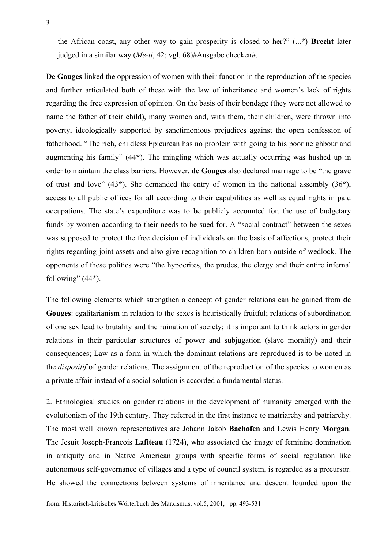the African coast, any other way to gain prosperity is closed to her?" (...**\***) **Brecht** later judged in a similar way (*Me-ti*, 42; vgl. 68)#Ausgabe checken#.

**De Gouges** linked the oppression of women with their function in the reproduction of the species and further articulated both of these with the law of inheritance and women's lack of rights regarding the free expression of opinion. On the basis of their bondage (they were not allowed to name the father of their child), many women and, with them, their children, were thrown into poverty, ideologically supported by sanctimonious prejudices against the open confession of fatherhood. "The rich, childless Epicurean has no problem with going to his poor neighbour and augmenting his family" (44**\***). The mingling which was actually occurring was hushed up in order to maintain the class barriers. However, **de Gouges** also declared marriage to be "the grave of trust and love" (43**\***). She demanded the entry of women in the national assembly (36**\***), access to all public offices for all according to their capabilities as well as equal rights in paid occupations. The state's expenditure was to be publicly accounted for, the use of budgetary funds by women according to their needs to be sued for. A "social contract" between the sexes was supposed to protect the free decision of individuals on the basis of affections, protect their rights regarding joint assets and also give recognition to children born outside of wedlock. The opponents of these politics were "the hypocrites, the prudes, the clergy and their entire infernal following" (44**\***).

The following elements which strengthen a concept of gender relations can be gained from **de Gouges**: egalitarianism in relation to the sexes is heuristically fruitful; relations of subordination of one sex lead to brutality and the ruination of society; it is important to think actors in gender relations in their particular structures of power and subjugation (slave morality) and their consequences; Law as a form in which the dominant relations are reproduced is to be noted in the *dispositif* of gender relations. The assignment of the reproduction of the species to women as a private affair instead of a social solution is accorded a fundamental status.

2. Ethnological studies on gender relations in the development of humanity emerged with the evolutionism of the 19th century. They referred in the first instance to matriarchy and patriarchy. The most well known representatives are Johann Jakob **Bachofen** and Lewis Henry **Morgan**. The Jesuit Joseph-Francois **Lafiteau** (1724), who associated the image of feminine domination in antiquity and in Native American groups with specific forms of social regulation like autonomous self-governance of villages and a type of council system, is regarded as a precursor. He showed the connections between systems of inheritance and descent founded upon the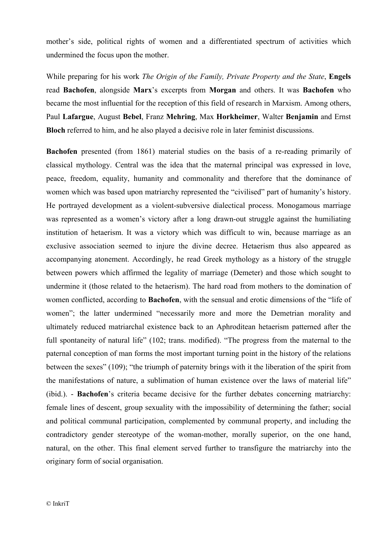mother's side, political rights of women and a differentiated spectrum of activities which undermined the focus upon the mother.

While preparing for his work *The Origin of the Family, Private Property and the State*, **Engels** read **Bachofen**, alongside **Marx**'s excerpts from **Morgan** and others. It was **Bachofen** who became the most influential for the reception of this field of research in Marxism. Among others, Paul **Lafargue**, August **Bebel**, Franz **Mehring**, Max **Horkheimer**, Walter **Benjamin** and Ernst **Bloch** referred to him, and he also played a decisive role in later feminist discussions.

**Bachofen** presented (from 1861) material studies on the basis of a re-reading primarily of classical mythology. Central was the idea that the maternal principal was expressed in love, peace, freedom, equality, humanity and commonality and therefore that the dominance of women which was based upon matriarchy represented the "civilised" part of humanity's history. He portrayed development as a violent-subversive dialectical process. Monogamous marriage was represented as a women's victory after a long drawn-out struggle against the humiliating institution of hetaerism. It was a victory which was difficult to win, because marriage as an exclusive association seemed to injure the divine decree. Hetaerism thus also appeared as accompanying atonement. Accordingly, he read Greek mythology as a history of the struggle between powers which affirmed the legality of marriage (Demeter) and those which sought to undermine it (those related to the hetaerism). The hard road from mothers to the domination of women conflicted, according to **Bachofen**, with the sensual and erotic dimensions of the "life of women"; the latter undermined "necessarily more and more the Demetrian morality and ultimately reduced matriarchal existence back to an Aphroditean hetaerism patterned after the full spontaneity of natural life" (102; trans. modified). "The progress from the maternal to the paternal conception of man forms the most important turning point in the history of the relations between the sexes" (109); "the triumph of paternity brings with it the liberation of the spirit from the manifestations of nature, a sublimation of human existence over the laws of material life" (ibid.). - **Bachofen**'s criteria became decisive for the further debates concerning matriarchy: female lines of descent, group sexuality with the impossibility of determining the father; social and political communal participation, complemented by communal property, and including the contradictory gender stereotype of the woman-mother, morally superior, on the one hand, natural, on the other. This final element served further to transfigure the matriarchy into the originary form of social organisation.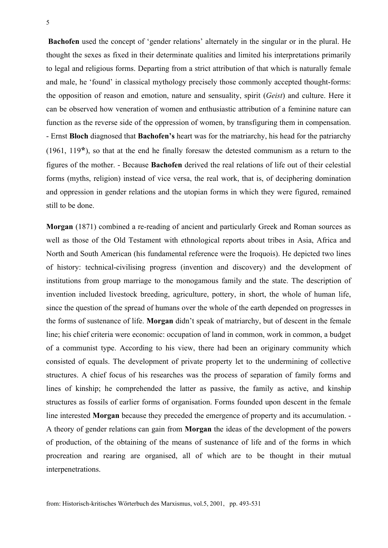**Bachofen** used the concept of 'gender relations' alternately in the singular or in the plural. He thought the sexes as fixed in their determinate qualities and limited his interpretations primarily to legal and religious forms. Departing from a strict attribution of that which is naturally female and male, he 'found' in classical mythology precisely those commonly accepted thought-forms: the opposition of reason and emotion, nature and sensuality, spirit (*Geist*) and culture. Here it can be observed how veneration of women and enthusiastic attribution of a feminine nature can function as the reverse side of the oppression of women, by transfiguring them in compensation. - Ernst **Bloch** diagnosed that **Bachofen's** heart was for the matriarchy, his head for the patriarchy (1961, 119**\***), so that at the end he finally foresaw the detested communism as a return to the figures of the mother. - Because **Bachofen** derived the real relations of life out of their celestial forms (myths, religion) instead of vice versa, the real work, that is, of deciphering domination and oppression in gender relations and the utopian forms in which they were figured, remained still to be done.

**Morgan** (1871) combined a re-reading of ancient and particularly Greek and Roman sources as well as those of the Old Testament with ethnological reports about tribes in Asia, Africa and North and South American (his fundamental reference were the Iroquois). He depicted two lines of history: technical-civilising progress (invention and discovery) and the development of institutions from group marriage to the monogamous family and the state. The description of invention included livestock breeding, agriculture, pottery, in short, the whole of human life, since the question of the spread of humans over the whole of the earth depended on progresses in the forms of sustenance of life. **Morgan** didn't speak of matriarchy, but of descent in the female line; his chief criteria were economic: occupation of land in common, work in common, a budget of a communist type. According to his view, there had been an originary community which consisted of equals. The development of private property let to the undermining of collective structures. A chief focus of his researches was the process of separation of family forms and lines of kinship; he comprehended the latter as passive, the family as active, and kinship structures as fossils of earlier forms of organisation. Forms founded upon descent in the female line interested **Morgan** because they preceded the emergence of property and its accumulation. - A theory of gender relations can gain from **Morgan** the ideas of the development of the powers of production, of the obtaining of the means of sustenance of life and of the forms in which procreation and rearing are organised, all of which are to be thought in their mutual interpenetrations.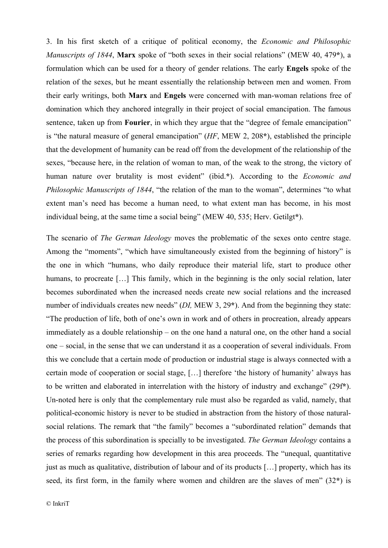3. In his first sketch of a critique of political economy, the *Economic and Philosophic Manuscripts of 1844*, **Marx** spoke of "both sexes in their social relations" (MEW 40, 479**\***), a formulation which can be used for a theory of gender relations. The early **Engels** spoke of the relation of the sexes, but he meant essentially the relationship between men and women. From their early writings, both **Marx** and **Engels** were concerned with man-woman relations free of domination which they anchored integrally in their project of social emancipation. The famous sentence, taken up from **Fourier**, in which they argue that the "degree of female emancipation" is "the natural measure of general emancipation" (*HF*, MEW 2, 208**\***), established the principle that the development of humanity can be read off from the development of the relationship of the sexes, "because here, in the relation of woman to man, of the weak to the strong, the victory of human nature over brutality is most evident" (ibid.**\***). According to the *Economic and Philosophic Manuscripts of 1844*, "the relation of the man to the woman", determines "to what extent man's need has become a human need, to what extent man has become, in his most individual being, at the same time a social being" (MEW 40, 535; Herv. Getilgt**\***).

The scenario of *The German Ideology* moves the problematic of the sexes onto centre stage. Among the "moments", "which have simultaneously existed from the beginning of history" is the one in which "humans, who daily reproduce their material life, start to produce other humans, to procreate [...] This family, which in the beginning is the only social relation, later becomes subordinated when the increased needs create new social relations and the increased number of individuals creates new needs" (*DI,* MEW 3, 29**\***). And from the beginning they state: "The production of life, both of one's own in work and of others in procreation, already appears immediately as a double relationship – on the one hand a natural one, on the other hand a social one – social, in the sense that we can understand it as a cooperation of several individuals. From this we conclude that a certain mode of production or industrial stage is always connected with a certain mode of cooperation or social stage, […] therefore 'the history of humanity' always has to be written and elaborated in interrelation with the history of industry and exchange" (29f**\***). Un-noted here is only that the complementary rule must also be regarded as valid, namely, that political-economic history is never to be studied in abstraction from the history of those naturalsocial relations. The remark that "the family" becomes a "subordinated relation" demands that the process of this subordination is specially to be investigated. *The German Ideology* contains a series of remarks regarding how development in this area proceeds. The "unequal, quantitative just as much as qualitative, distribution of labour and of its products […] property, which has its seed, its first form, in the family where women and children are the slaves of men" (32**\***) is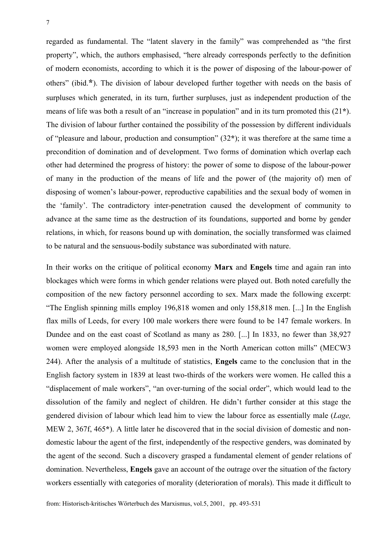regarded as fundamental. The "latent slavery in the family" was comprehended as "the first property", which, the authors emphasised, "here already corresponds perfectly to the definition of modern economists, according to which it is the power of disposing of the labour-power of others" (ibid.**\***). The division of labour developed further together with needs on the basis of surpluses which generated, in its turn, further surpluses, just as independent production of the means of life was both a result of an "increase in population" and in its turn promoted this (21**\***). The division of labour further contained the possibility of the possession by different individuals of "pleasure and labour, production and consumption" (32**\***); it was therefore at the same time a precondition of domination and of development. Two forms of domination which overlap each other had determined the progress of history: the power of some to dispose of the labour-power of many in the production of the means of life and the power of (the majority of) men of disposing of women's labour-power, reproductive capabilities and the sexual body of women in the 'family'. The contradictory inter-penetration caused the development of community to advance at the same time as the destruction of its foundations, supported and borne by gender relations, in which, for reasons bound up with domination, the socially transformed was claimed to be natural and the sensuous-bodily substance was subordinated with nature.

In their works on the critique of political economy **Marx** and **Engels** time and again ran into blockages which were forms in which gender relations were played out. Both noted carefully the composition of the new factory personnel according to sex. Marx made the following excerpt: "The English spinning mills employ 196,818 women and only 158,818 men. [...] In the English flax mills of Leeds, for every 100 male workers there were found to be 147 female workers. In Dundee and on the east coast of Scotland as many as 280. [...] In 1833, no fewer than 38,927 women were employed alongside 18,593 men in the North American cotton mills" (MECW3 244). After the analysis of a multitude of statistics, **Engels** came to the conclusion that in the English factory system in 1839 at least two-thirds of the workers were women. He called this a "displacement of male workers", "an over-turning of the social order", which would lead to the dissolution of the family and neglect of children. He didn't further consider at this stage the gendered division of labour which lead him to view the labour force as essentially male (*Lage,*  MEW 2, 367f, 465**\***). A little later he discovered that in the social division of domestic and nondomestic labour the agent of the first, independently of the respective genders, was dominated by the agent of the second. Such a discovery grasped a fundamental element of gender relations of domination. Nevertheless, **Engels** gave an account of the outrage over the situation of the factory workers essentially with categories of morality (deterioration of morals). This made it difficult to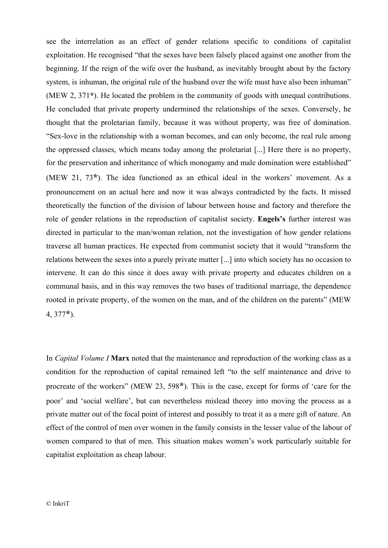see the interrelation as an effect of gender relations specific to conditions of capitalist exploitation. He recognised "that the sexes have been falsely placed against one another from the beginning. If the reign of the wife over the husband, as inevitably brought about by the factory system, is inhuman, the original rule of the husband over the wife must have also been inhuman" (MEW 2, 371**\***). He located the problem in the community of goods with unequal contributions. He concluded that private property undermined the relationships of the sexes. Conversely, he thought that the proletarian family, because it was without property, was free of domination. "Sex-love in the relationship with a woman becomes, and can only become, the real rule among the oppressed classes, which means today among the proletariat [...] Here there is no property, for the preservation and inheritance of which monogamy and male domination were established" (MEW 21, 73**\***). The idea functioned as an ethical ideal in the workers' movement. As a pronouncement on an actual here and now it was always contradicted by the facts. It missed theoretically the function of the division of labour between house and factory and therefore the role of gender relations in the reproduction of capitalist society. **Engels's** further interest was directed in particular to the man/woman relation, not the investigation of how gender relations traverse all human practices. He expected from communist society that it would "transform the relations between the sexes into a purely private matter [...] into which society has no occasion to intervene. It can do this since it does away with private property and educates children on a communal basis, and in this way removes the two bases of traditional marriage, the dependence rooted in private property, of the women on the man, and of the children on the parents" (MEW 4, 377**\***).

In *Capital Volume I* **Marx** noted that the maintenance and reproduction of the working class as a condition for the reproduction of capital remained left "to the self maintenance and drive to procreate of the workers" (MEW 23, 598**\***). This is the case, except for forms of 'care for the poor' and 'social welfare', but can nevertheless mislead theory into moving the process as a private matter out of the focal point of interest and possibly to treat it as a mere gift of nature. An effect of the control of men over women in the family consists in the lesser value of the labour of women compared to that of men. This situation makes women's work particularly suitable for capitalist exploitation as cheap labour.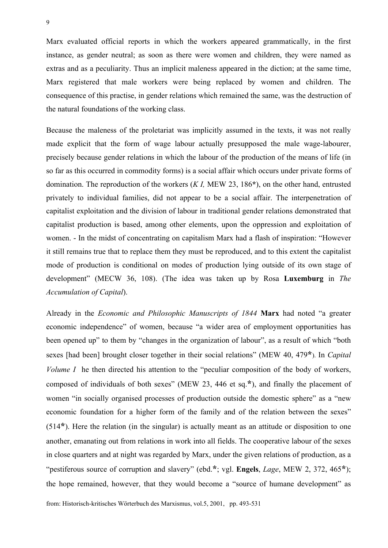Marx evaluated official reports in which the workers appeared grammatically, in the first instance, as gender neutral; as soon as there were women and children, they were named as extras and as a peculiarity. Thus an implicit maleness appeared in the diction; at the same time, Marx registered that male workers were being replaced by women and children. The consequence of this practise, in gender relations which remained the same, was the destruction of the natural foundations of the working class.

Because the maleness of the proletariat was implicitly assumed in the texts, it was not really made explicit that the form of wage labour actually presupposed the male wage-labourer, precisely because gender relations in which the labour of the production of the means of life (in so far as this occurred in commodity forms) is a social affair which occurs under private forms of domination. The reproduction of the workers (*K I,* MEW 23, 186**\***), on the other hand, entrusted privately to individual families, did not appear to be a social affair. The interpenetration of capitalist exploitation and the division of labour in traditional gender relations demonstrated that capitalist production is based, among other elements, upon the oppression and exploitation of women. - In the midst of concentrating on capitalism Marx had a flash of inspiration: "However it still remains true that to replace them they must be reproduced, and to this extent the capitalist mode of production is conditional on modes of production lying outside of its own stage of development" (MECW 36, 108). (The idea was taken up by Rosa **Luxemburg** in *The Accumulation of Capital*).

Already in the *Economic and Philosophic Manuscripts of 1844* **Marx** had noted "a greater economic independence" of women, because "a wider area of employment opportunities has been opened up" to them by "changes in the organization of labour", as a result of which "both sexes [had been] brought closer together in their social relations" (MEW 40, 479**\***). In *Capital Volume I* he then directed his attention to the "peculiar composition of the body of workers, composed of individuals of both sexes" (MEW 23, 446 et sq.**\***), and finally the placement of women "in socially organised processes of production outside the domestic sphere" as a "new economic foundation for a higher form of the family and of the relation between the sexes" (514**\***). Here the relation (in the singular) is actually meant as an attitude or disposition to one another, emanating out from relations in work into all fields. The cooperative labour of the sexes in close quarters and at night was regarded by Marx, under the given relations of production, as a "pestiferous source of corruption and slavery" (ebd.**\***; vgl. **Engels**, *Lage*, MEW 2, 372, 465**\***); the hope remained, however, that they would become a "source of humane development" as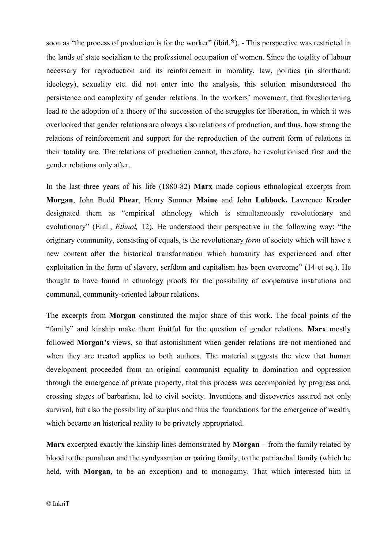soon as "the process of production is for the worker" (ibid.**\***). - This perspective was restricted in the lands of state socialism to the professional occupation of women. Since the totality of labour necessary for reproduction and its reinforcement in morality, law, politics (in shorthand: ideology), sexuality etc. did not enter into the analysis, this solution misunderstood the persistence and complexity of gender relations. In the workers' movement, that foreshortening lead to the adoption of a theory of the succession of the struggles for liberation, in which it was overlooked that gender relations are always also relations of production, and thus, how strong the relations of reinforcement and support for the reproduction of the current form of relations in their totality are. The relations of production cannot, therefore, be revolutionised first and the gender relations only after.

In the last three years of his life (1880-82) **Marx** made copious ethnological excerpts from **Morgan**, John Budd **Phear**, Henry Sumner **Maine** and John **Lubbock.** Lawrence **Krader** designated them as "empirical ethnology which is simultaneously revolutionary and evolutionary" (Einl., *Ethnol,* 12). He understood their perspective in the following way: "the originary community, consisting of equals, is the revolutionary *form* of society which will have a new content after the historical transformation which humanity has experienced and after exploitation in the form of slavery, serfdom and capitalism has been overcome" (14 et sq.). He thought to have found in ethnology proofs for the possibility of cooperative institutions and communal, community-oriented labour relations.

The excerpts from **Morgan** constituted the major share of this work. The focal points of the "family" and kinship make them fruitful for the question of gender relations. **Marx** mostly followed **Morgan's** views, so that astonishment when gender relations are not mentioned and when they are treated applies to both authors. The material suggests the view that human development proceeded from an original communist equality to domination and oppression through the emergence of private property, that this process was accompanied by progress and, crossing stages of barbarism, led to civil society. Inventions and discoveries assured not only survival, but also the possibility of surplus and thus the foundations for the emergence of wealth, which became an historical reality to be privately appropriated.

**Marx** excerpted exactly the kinship lines demonstrated by **Morgan** – from the family related by blood to the punaluan and the syndyasmian or pairing family, to the patriarchal family (which he held, with **Morgan**, to be an exception) and to monogamy. That which interested him in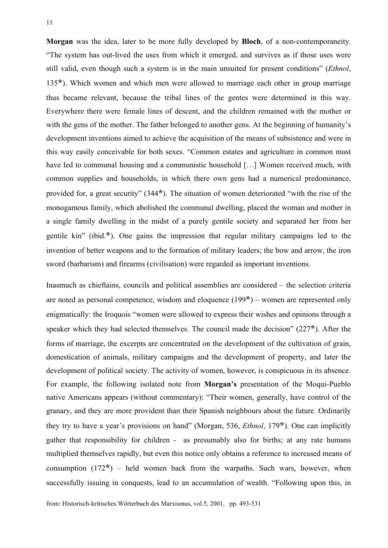11

**Morgan** was the idea, later to be more fully developed by **Bloch**, of a non-contemporaneity. "The system has out-lived the uses from which it emerged, and survives as if those uses were still valid, even though such a system is in the main unsuited for present conditions" (*Ethnol*, 135**\***). Which women and which men were allowed to marriage each other in group marriage thus became relevant, because the tribal lines of the gentes were determined in this way. Everywhere there were female lines of descent, and the children remained with the mother or with the gens of the mother. The father belonged to another gens. At the beginning of humanity's development inventions aimed to achieve the acquisition of the means of subsistence and were in this way easily conceivable for both sexes. "Common estates and agriculture in common must have led to communal housing and a communistic household [...] Women received much, with common supplies and households, in which there own gens had a numerical predominance, provided for, a great security" (344**\***). The situation of women deteriorated "with the rise of the monogamous family, which abolished the communal dwelling, placed the woman and mother in a single family dwelling in the midst of a purely gentile society and separated her from her gentile kin" (ibid.**\***). One gains the impression that regular military campaigns led to the invention of better weapons and to the formation of military leaders; the bow and arrow, the iron sword (barbarism) and firearms (civilisation) were regarded as important inventions.

Inasmuch as chieftains, councils and political assemblies are considered – the selection criteria are noted as personal competence, wisdom and eloquence (199**\***) – women are represented only enigmatically: the Iroquois "women were allowed to express their wishes and opinions through a speaker which they had selected themselves. The council made the decision" (227**\***). After the forms of marriage, the excerpts are concentrated on the development of the cultivation of grain, domestication of animals, military campaigns and the development of property, and later the development of political society. The activity of women, however, is conspicuous in its absence. For example, the following isolated note from **Morgan's** presentation of the Moqui-Pueblo native Americans appears (without commentary): "Their women, generally, have control of the granary, and they are more provident than their Spanish neighbours about the future. Ordinarily they try to have a year's provisions on hand" (Morgan, 536, *Ethnol*, 179**\***). One can implicitly gather that responsibility for children - as presumably also for births; at any rate humans multiplied themselves rapidly, but even this notice only obtains a reference to increased means of consumption (172**\***) – held women back from the warpaths. Such wars, however, when successfully issuing in conquests, lead to an accumulation of wealth. "Following upon this, in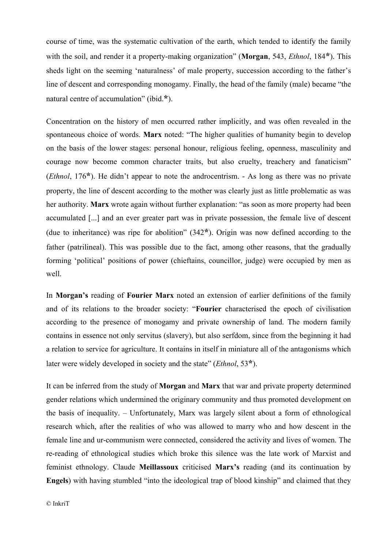course of time, was the systematic cultivation of the earth, which tended to identify the family with the soil, and render it a property-making organization" (**Morgan**, 543, *Ethnol*, 184**\***). This sheds light on the seeming 'naturalness' of male property, succession according to the father's line of descent and corresponding monogamy. Finally, the head of the family (male) became "the natural centre of accumulation" (ibid.**\***).

Concentration on the history of men occurred rather implicitly, and was often revealed in the spontaneous choice of words. **Marx** noted: "The higher qualities of humanity begin to develop on the basis of the lower stages: personal honour, religious feeling, openness, masculinity and courage now become common character traits, but also cruelty, treachery and fanaticism" (*Ethnol*, 176**\***). He didn't appear to note the androcentrism. - As long as there was no private property, the line of descent according to the mother was clearly just as little problematic as was her authority. **Marx** wrote again without further explanation: "as soon as more property had been accumulated [...] and an ever greater part was in private possession, the female live of descent (due to inheritance) was ripe for abolition" (342**\***). Origin was now defined according to the father (patrilineal). This was possible due to the fact, among other reasons, that the gradually forming 'political' positions of power (chieftains, councillor, judge) were occupied by men as well.

In **Morgan's** reading of **Fourier Marx** noted an extension of earlier definitions of the family and of its relations to the broader society: "**Fourier** characterised the epoch of civilisation according to the presence of monogamy and private ownership of land. The modern family contains in essence not only servitus (slavery), but also serfdom, since from the beginning it had a relation to service for agriculture. It contains in itself in miniature all of the antagonisms which later were widely developed in society and the state" (*Ethnol*, 53**\***).

It can be inferred from the study of **Morgan** and **Marx** that war and private property determined gender relations which undermined the originary community and thus promoted development on the basis of inequality. – Unfortunately, Marx was largely silent about a form of ethnological research which, after the realities of who was allowed to marry who and how descent in the female line and ur-communism were connected, considered the activity and lives of women. The re-reading of ethnological studies which broke this silence was the late work of Marxist and feminist ethnology. Claude **Meillassoux** criticised **Marx's** reading (and its continuation by **Engels**) with having stumbled "into the ideological trap of blood kinship" and claimed that they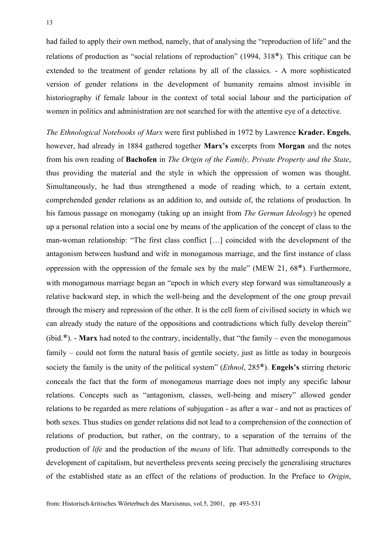had failed to apply their own method, namely, that of analysing the "reproduction of life" and the relations of production as "social relations of reproduction" (1994, 318**\***). This critique can be extended to the treatment of gender relations by all of the classics. - A more sophisticated version of gender relations in the development of humanity remains almost invisible in historiography if female labour in the context of total social labour and the participation of women in politics and administration are not searched for with the attentive eye of a detective.

*The Ethnological Notebooks of Marx* were first published in 1972 by Lawrence **Krader. Engels**, however, had already in 1884 gathered together **Marx's** excerpts from **Morgan** and the notes from his own reading of **Bachofen** in *The Origin of the Family, Private Property and the State*, thus providing the material and the style in which the oppression of women was thought. Simultaneously, he had thus strengthened a mode of reading which, to a certain extent, comprehended gender relations as an addition to, and outside of, the relations of production. In his famous passage on monogamy (taking up an insight from *The German Ideology*) he opened up a personal relation into a social one by means of the application of the concept of class to the man-woman relationship: "The first class conflict […] coincided with the development of the antagonism between husband and wife in monogamous marriage, and the first instance of class oppression with the oppression of the female sex by the male" (MEW 21, 68**\***). Furthermore, with monogamous marriage began an "epoch in which every step forward was simultaneously a relative backward step, in which the well-being and the development of the one group prevail through the misery and repression of the other. It is the cell form of civilised society in which we can already study the nature of the oppositions and contradictions which fully develop therein" (ibid.**\***). - **Marx** had noted to the contrary, incidentally, that "the family – even the monogamous family – could not form the natural basis of gentile society, just as little as today in bourgeois society the family is the unity of the political system" (*Ethnol*, 285**\***). **Engels's** stirring rhetoric conceals the fact that the form of monogamous marriage does not imply any specific labour relations. Concepts such as "antagonism, classes, well-being and misery" allowed gender relations to be regarded as mere relations of subjugation - as after a war - and not as practices of both sexes. Thus studies on gender relations did not lead to a comprehension of the connection of relations of production, but rather, on the contrary, to a separation of the terrains of the production of *life* and the production of the *means* of life. That admittedly corresponds to the development of capitalism, but nevertheless prevents seeing precisely the generalising structures of the established state as an effect of the relations of production. In the Preface to *Origin*,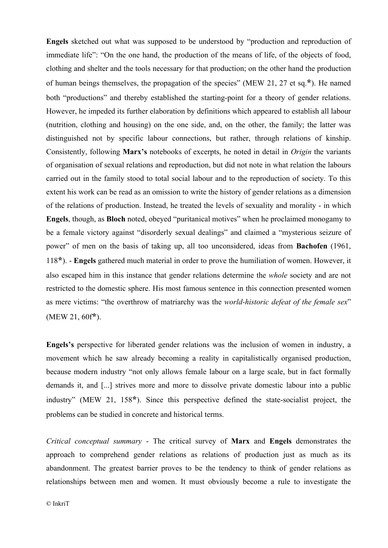**Engels** sketched out what was supposed to be understood by "production and reproduction of immediate life": "On the one hand, the production of the means of life, of the objects of food, clothing and shelter and the tools necessary for that production; on the other hand the production of human beings themselves, the propagation of the species" (MEW 21, 27 et sq.**\***). He named both "productions" and thereby established the starting-point for a theory of gender relations. However, he impeded its further elaboration by definitions which appeared to establish all labour (nutrition, clothing and housing) on the one side, and, on the other, the family; the latter was distinguished not by specific labour connections, but rather, through relations of kinship. Consistently, following **Marx's** notebooks of excerpts, he noted in detail in *Origin* the variants of organisation of sexual relations and reproduction, but did not note in what relation the labours carried out in the family stood to total social labour and to the reproduction of society. To this extent his work can be read as an omission to write the history of gender relations as a dimension of the relations of production. Instead, he treated the levels of sexuality and morality - in which **Engels**, though, as **Bloch** noted, obeyed "puritanical motives" when he proclaimed monogamy to be a female victory against "disorderly sexual dealings" and claimed a "mysterious seizure of power" of men on the basis of taking up, all too unconsidered, ideas from **Bachofen** (1961, 118**\***). - **Engels** gathered much material in order to prove the humiliation of women. However, it also escaped him in this instance that gender relations determine the *whole* society and are not restricted to the domestic sphere. His most famous sentence in this connection presented women as mere victims: "the overthrow of matriarchy was the *world-historic defeat of the female sex*" (MEW 21, 60f**\***).

**Engels's** perspective for liberated gender relations was the inclusion of women in industry, a movement which he saw already becoming a reality in capitalistically organised production, because modern industry "not only allows female labour on a large scale, but in fact formally demands it, and [...] strives more and more to dissolve private domestic labour into a public industry" (MEW 21, 158**\***). Since this perspective defined the state-socialist project, the problems can be studied in concrete and historical terms.

*Critical conceptual summary* - The critical survey of **Marx** and **Engels** demonstrates the approach to comprehend gender relations as relations of production just as much as its abandonment. The greatest barrier proves to be the tendency to think of gender relations as relationships between men and women. It must obviously become a rule to investigate the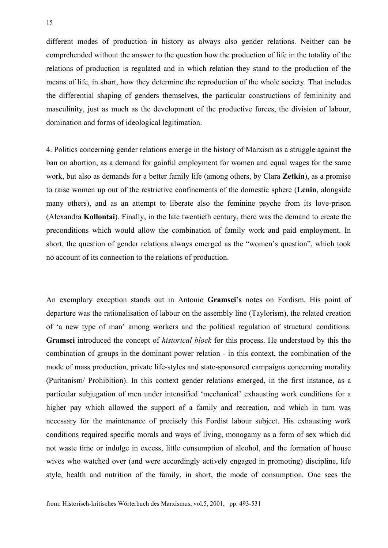different modes of production in history as always also gender relations. Neither can be comprehended without the answer to the question how the production of life in the totality of the relations of production is regulated and in which relation they stand to the production of the means of life, in short, how they determine the reproduction of the whole society. That includes the differential shaping of genders themselves, the particular constructions of femininity and masculinity, just as much as the development of the productive forces, the division of labour, domination and forms of ideological legitimation.

4. Politics concerning gender relations emerge in the history of Marxism as a struggle against the ban on abortion, as a demand for gainful employment for women and equal wages for the same work, but also as demands for a better family life (among others, by Clara **Zetkin**), as a promise to raise women up out of the restrictive confinements of the domestic sphere (**Lenin**, alongside many others), and as an attempt to liberate also the feminine psyche from its love-prison (Alexandra **Kollontai**). Finally, in the late twentieth century, there was the demand to create the preconditions which would allow the combination of family work and paid employment. In short, the question of gender relations always emerged as the "women's question", which took no account of its connection to the relations of production.

An exemplary exception stands out in Antonio **Gramsci's** notes on Fordism. His point of departure was the rationalisation of labour on the assembly line (Taylorism), the related creation of 'a new type of man' among workers and the political regulation of structural conditions. **Gramsci** introduced the concept of *historical block* for this process. He understood by this the combination of groups in the dominant power relation - in this context, the combination of the mode of mass production, private life-styles and state-sponsored campaigns concerning morality (Puritanism/ Prohibition). In this context gender relations emerged, in the first instance, as a particular subjugation of men under intensified 'mechanical' exhausting work conditions for a higher pay which allowed the support of a family and recreation, and which in turn was necessary for the maintenance of precisely this Fordist labour subject. His exhausting work conditions required specific morals and ways of living, monogamy as a form of sex which did not waste time or indulge in excess, little consumption of alcohol, and the formation of house wives who watched over (and were accordingly actively engaged in promoting) discipline, life style, health and nutrition of the family, in short, the mode of consumption. One sees the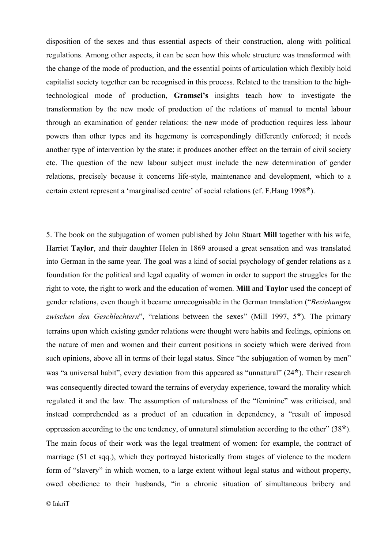disposition of the sexes and thus essential aspects of their construction, along with political regulations. Among other aspects, it can be seen how this whole structure was transformed with the change of the mode of production, and the essential points of articulation which flexibly hold capitalist society together can be recognised in this process. Related to the transition to the hightechnological mode of production, **Gramsci's** insights teach how to investigate the transformation by the new mode of production of the relations of manual to mental labour through an examination of gender relations: the new mode of production requires less labour powers than other types and its hegemony is correspondingly differently enforced; it needs another type of intervention by the state; it produces another effect on the terrain of civil society etc. The question of the new labour subject must include the new determination of gender relations, precisely because it concerns life-style, maintenance and development, which to a certain extent represent a 'marginalised centre' of social relations (cf. F.Haug 1998**\***).

5. The book on the subjugation of women published by John Stuart **Mill** together with his wife, Harriet **Taylor**, and their daughter Helen in 1869 aroused a great sensation and was translated into German in the same year. The goal was a kind of social psychology of gender relations as a foundation for the political and legal equality of women in order to support the struggles for the right to vote, the right to work and the education of women. **Mill** and **Taylor** used the concept of gender relations, even though it became unrecognisable in the German translation ("*Beziehungen zwischen den Geschlechtern*", "relations between the sexes" (Mill 1997, 5**\***). The primary terrains upon which existing gender relations were thought were habits and feelings, opinions on the nature of men and women and their current positions in society which were derived from such opinions, above all in terms of their legal status. Since "the subjugation of women by men" was "a universal habit", every deviation from this appeared as "unnatural" (24**\***). Their research was consequently directed toward the terrains of everyday experience, toward the morality which regulated it and the law. The assumption of naturalness of the "feminine" was criticised, and instead comprehended as a product of an education in dependency, a "result of imposed oppression according to the one tendency, of unnatural stimulation according to the other" (38**\***). The main focus of their work was the legal treatment of women: for example, the contract of marriage (51 et sqq.), which they portrayed historically from stages of violence to the modern form of "slavery" in which women, to a large extent without legal status and without property, owed obedience to their husbands, "in a chronic situation of simultaneous bribery and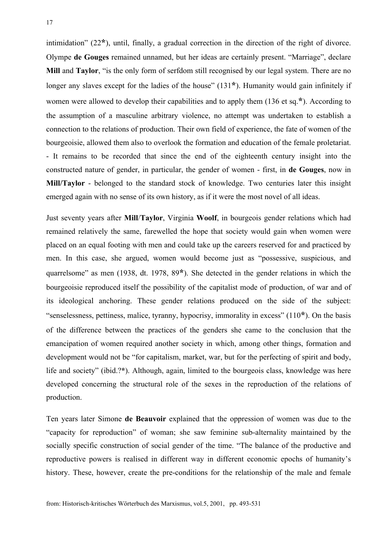intimidation" (22**\***), until, finally, a gradual correction in the direction of the right of divorce. Olympe **de Gouges** remained unnamed, but her ideas are certainly present. "Marriage", declare **Mill** and **Taylor**, "is the only form of serfdom still recognised by our legal system. There are no longer any slaves except for the ladies of the house" (131**\***). Humanity would gain infinitely if women were allowed to develop their capabilities and to apply them (136 et sq.**\***). According to the assumption of a masculine arbitrary violence, no attempt was undertaken to establish a connection to the relations of production. Their own field of experience, the fate of women of the bourgeoisie, allowed them also to overlook the formation and education of the female proletariat. - It remains to be recorded that since the end of the eighteenth century insight into the constructed nature of gender, in particular, the gender of women - first, in **de Gouges**, now in **Mill/Taylor** - belonged to the standard stock of knowledge. Two centuries later this insight emerged again with no sense of its own history, as if it were the most novel of all ideas.

Just seventy years after **Mill**/**Taylor**, Virginia **Woolf**, in bourgeois gender relations which had remained relatively the same, farewelled the hope that society would gain when women were placed on an equal footing with men and could take up the careers reserved for and practiced by men. In this case, she argued, women would become just as "possessive, suspicious, and quarrelsome" as men (1938, dt. 1978, 89**\***). She detected in the gender relations in which the bourgeoisie reproduced itself the possibility of the capitalist mode of production, of war and of its ideological anchoring. These gender relations produced on the side of the subject: "senselessness, pettiness, malice, tyranny, hypocrisy, immorality in excess" (110**\***). On the basis of the difference between the practices of the genders she came to the conclusion that the emancipation of women required another society in which, among other things, formation and development would not be "for capitalism, market, war, but for the perfecting of spirit and body, life and society" (ibid.?\*). Although, again, limited to the bourgeois class, knowledge was here developed concerning the structural role of the sexes in the reproduction of the relations of production.

Ten years later Simone **de Beauvoir** explained that the oppression of women was due to the "capacity for reproduction" of woman; she saw feminine sub-alternality maintained by the socially specific construction of social gender of the time. "The balance of the productive and reproductive powers is realised in different way in different economic epochs of humanity's history. These, however, create the pre-conditions for the relationship of the male and female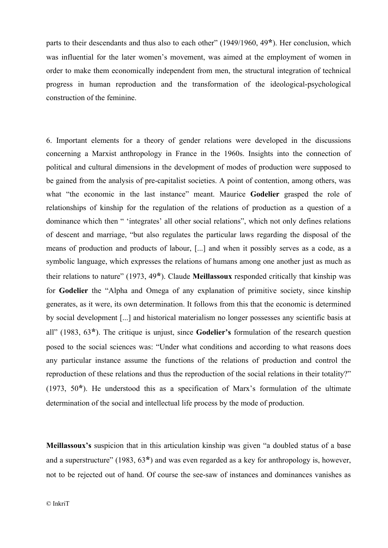parts to their descendants and thus also to each other" (1949/1960, 49**\***). Her conclusion, which was influential for the later women's movement, was aimed at the employment of women in order to make them economically independent from men, the structural integration of technical progress in human reproduction and the transformation of the ideological-psychological construction of the feminine.

6. Important elements for a theory of gender relations were developed in the discussions concerning a Marxist anthropology in France in the 1960s. Insights into the connection of political and cultural dimensions in the development of modes of production were supposed to be gained from the analysis of pre-capitalist societies. A point of contention, among others, was what "the economic in the last instance" meant. Maurice **Godelier** grasped the role of relationships of kinship for the regulation of the relations of production as a question of a dominance which then " 'integrates' all other social relations", which not only defines relations of descent and marriage, "but also regulates the particular laws regarding the disposal of the means of production and products of labour, [...] and when it possibly serves as a code, as a symbolic language, which expresses the relations of humans among one another just as much as their relations to nature" (1973, 49**\***). Claude **Meillassoux** responded critically that kinship was for **Godelier** the "Alpha and Omega of any explanation of primitive society, since kinship generates, as it were, its own determination. It follows from this that the economic is determined by social development [...] and historical materialism no longer possesses any scientific basis at all" (1983, 63**\***). The critique is unjust, since **Godelier's** formulation of the research question posed to the social sciences was: "Under what conditions and according to what reasons does any particular instance assume the functions of the relations of production and control the reproduction of these relations and thus the reproduction of the social relations in their totality?" (1973, 50**\***). He understood this as a specification of Marx's formulation of the ultimate determination of the social and intellectual life process by the mode of production.

**Meillassoux's** suspicion that in this articulation kinship was given "a doubled status of a base and a superstructure" (1983, 63**\***) and was even regarded as a key for anthropology is, however, not to be rejected out of hand. Of course the see-saw of instances and dominances vanishes as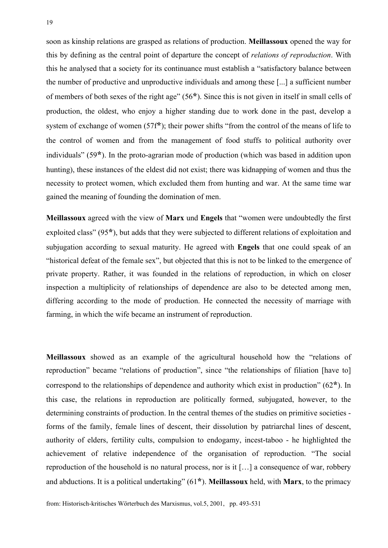soon as kinship relations are grasped as relations of production. **Meillassoux** opened the way for this by defining as the central point of departure the concept of *relations of reproduction*. With this he analysed that a society for its continuance must establish a "satisfactory balance between the number of productive and unproductive individuals and among these [...] a sufficient number of members of both sexes of the right age" (56**\***). Since this is not given in itself in small cells of production, the oldest, who enjoy a higher standing due to work done in the past, develop a system of exchange of women (57f**\***); their power shifts "from the control of the means of life to the control of women and from the management of food stuffs to political authority over individuals" (59**\***). In the proto-agrarian mode of production (which was based in addition upon hunting), these instances of the eldest did not exist; there was kidnapping of women and thus the necessity to protect women, which excluded them from hunting and war. At the same time war gained the meaning of founding the domination of men.

**Meillassoux** agreed with the view of **Marx** und **Engels** that "women were undoubtedly the first exploited class" (95**\***), but adds that they were subjected to different relations of exploitation and subjugation according to sexual maturity. He agreed with **Engels** that one could speak of an "historical defeat of the female sex", but objected that this is not to be linked to the emergence of private property. Rather, it was founded in the relations of reproduction, in which on closer inspection a multiplicity of relationships of dependence are also to be detected among men, differing according to the mode of production. He connected the necessity of marriage with farming, in which the wife became an instrument of reproduction.

**Meillassoux** showed as an example of the agricultural household how the "relations of reproduction" became "relations of production", since "the relationships of filiation [have to] correspond to the relationships of dependence and authority which exist in production" (62**\***). In this case, the relations in reproduction are politically formed, subjugated, however, to the determining constraints of production. In the central themes of the studies on primitive societies forms of the family, female lines of descent, their dissolution by patriarchal lines of descent, authority of elders, fertility cults, compulsion to endogamy, incest-taboo - he highlighted the achievement of relative independence of the organisation of reproduction. "The social reproduction of the household is no natural process, nor is it […] a consequence of war, robbery and abductions. It is a political undertaking" (61**\***). **Meillassoux** held, with **Marx**, to the primacy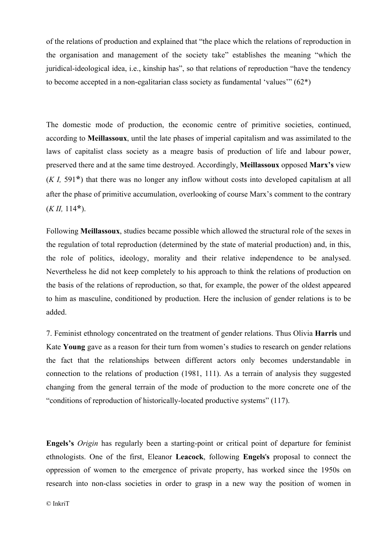of the relations of production and explained that "the place which the relations of reproduction in the organisation and management of the society take" establishes the meaning "which the juridical-ideological idea, i.e., kinship has", so that relations of reproduction "have the tendency to become accepted in a non-egalitarian class society as fundamental 'values'"  $(62^*)$ 

The domestic mode of production, the economic centre of primitive societies, continued, according to **Meillassoux**, until the late phases of imperial capitalism and was assimilated to the laws of capitalist class society as a meagre basis of production of life and labour power, preserved there and at the same time destroyed. Accordingly, **Meillassoux** opposed **Marx's** view (*K I,* 591**\***) that there was no longer any inflow without costs into developed capitalism at all after the phase of primitive accumulation, overlooking of course Marx's comment to the contrary  $(K II. 114^*).$ 

Following **Meillassoux**, studies became possible which allowed the structural role of the sexes in the regulation of total reproduction (determined by the state of material production) and, in this, the role of politics, ideology, morality and their relative independence to be analysed. Nevertheless he did not keep completely to his approach to think the relations of production on the basis of the relations of reproduction, so that, for example, the power of the oldest appeared to him as masculine, conditioned by production. Here the inclusion of gender relations is to be added.

7. Feminist ethnology concentrated on the treatment of gender relations. Thus Olivia **Harris** und Kate **Young** gave as a reason for their turn from women's studies to research on gender relations the fact that the relationships between different actors only becomes understandable in connection to the relations of production (1981, 111). As a terrain of analysis they suggested changing from the general terrain of the mode of production to the more concrete one of the "conditions of reproduction of historically-located productive systems" (117).

**Engels's** *Origin* has regularly been a starting-point or critical point of departure for feminist ethnologists. One of the first, Eleanor **Leacock**, following **Engels**'**s** proposal to connect the oppression of women to the emergence of private property, has worked since the 1950s on research into non-class societies in order to grasp in a new way the position of women in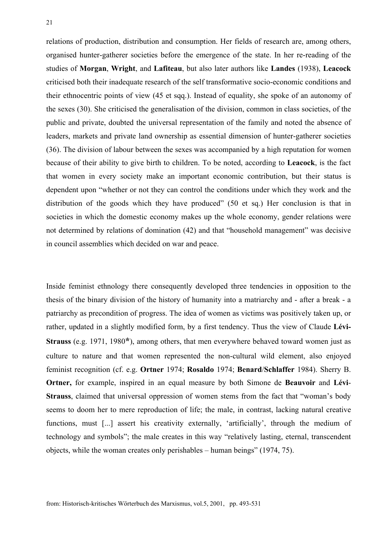relations of production, distribution and consumption. Her fields of research are, among others, organised hunter-gatherer societies before the emergence of the state. In her re-reading of the studies of **Morgan**, **Wright**, and **Lafiteau**, but also later authors like **Landes** (1938), **Leacock**  criticised both their inadequate research of the self transformative socio-economic conditions and their ethnocentric points of view (45 et sqq.). Instead of equality, she spoke of an autonomy of the sexes (30). She criticised the generalisation of the division, common in class societies, of the public and private, doubted the universal representation of the family and noted the absence of leaders, markets and private land ownership as essential dimension of hunter-gatherer societies (36). The division of labour between the sexes was accompanied by a high reputation for women because of their ability to give birth to children. To be noted, according to **Leacock**, is the fact that women in every society make an important economic contribution, but their status is dependent upon "whether or not they can control the conditions under which they work and the distribution of the goods which they have produced" (50 et sq.) Her conclusion is that in societies in which the domestic economy makes up the whole economy, gender relations were not determined by relations of domination (42) and that "household management" was decisive in council assemblies which decided on war and peace.

Inside feminist ethnology there consequently developed three tendencies in opposition to the thesis of the binary division of the history of humanity into a matriarchy and - after a break - a patriarchy as precondition of progress. The idea of women as victims was positively taken up, or rather, updated in a slightly modified form, by a first tendency. Thus the view of Claude **Lévi-Strauss** (e.g. 1971, 1980**\***), among others, that men everywhere behaved toward women just as culture to nature and that women represented the non-cultural wild element, also enjoyed feminist recognition (cf. e.g. **Ortner** 1974; **Rosaldo** 1974; **Benard**/**Schlaffer** 1984). Sherry B. **Ortner,** for example, inspired in an equal measure by both Simone de **Beauvoir** and **Lévi**-**Strauss**, claimed that universal oppression of women stems from the fact that "woman's body seems to doom her to mere reproduction of life; the male, in contrast, lacking natural creative functions, must [...] assert his creativity externally, 'artificially', through the medium of technology and symbols"; the male creates in this way "relatively lasting, eternal, transcendent objects, while the woman creates only perishables – human beings" (1974, 75).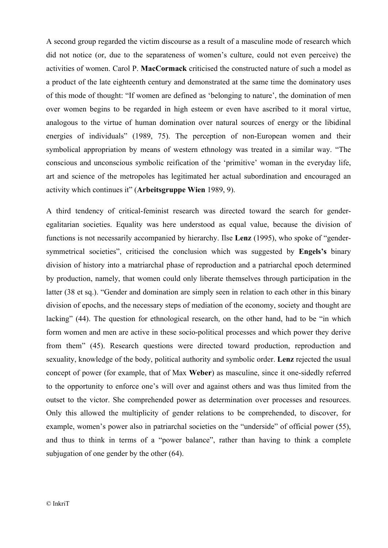A second group regarded the victim discourse as a result of a masculine mode of research which did not notice (or, due to the separateness of women's culture, could not even perceive) the activities of women. Carol P. **MacCormack** criticised the constructed nature of such a model as a product of the late eighteenth century and demonstrated at the same time the dominatory uses of this mode of thought: "If women are defined as 'belonging to nature', the domination of men over women begins to be regarded in high esteem or even have ascribed to it moral virtue, analogous to the virtue of human domination over natural sources of energy or the libidinal energies of individuals" (1989, 75). The perception of non-European women and their symbolical appropriation by means of western ethnology was treated in a similar way. "The conscious and unconscious symbolic reification of the 'primitive' woman in the everyday life, art and science of the metropoles has legitimated her actual subordination and encouraged an activity which continues it" (**Arbeitsgruppe Wien** 1989, 9).

A third tendency of critical-feminist research was directed toward the search for genderegalitarian societies. Equality was here understood as equal value, because the division of functions is not necessarily accompanied by hierarchy. Ilse **Lenz** (1995), who spoke of "gendersymmetrical societies", criticised the conclusion which was suggested by **Engels's** binary division of history into a matriarchal phase of reproduction and a patriarchal epoch determined by production, namely, that women could only liberate themselves through participation in the latter (38 et sq.). "Gender and domination are simply seen in relation to each other in this binary division of epochs, and the necessary steps of mediation of the economy, society and thought are lacking" (44). The question for ethnological research, on the other hand, had to be "in which form women and men are active in these socio-political processes and which power they derive from them" (45). Research questions were directed toward production, reproduction and sexuality, knowledge of the body, political authority and symbolic order. **Lenz** rejected the usual concept of power (for example, that of Max **Weber**) as masculine, since it one-sidedly referred to the opportunity to enforce one's will over and against others and was thus limited from the outset to the victor. She comprehended power as determination over processes and resources. Only this allowed the multiplicity of gender relations to be comprehended, to discover, for example, women's power also in patriarchal societies on the "underside" of official power (55), and thus to think in terms of a "power balance", rather than having to think a complete subjugation of one gender by the other (64).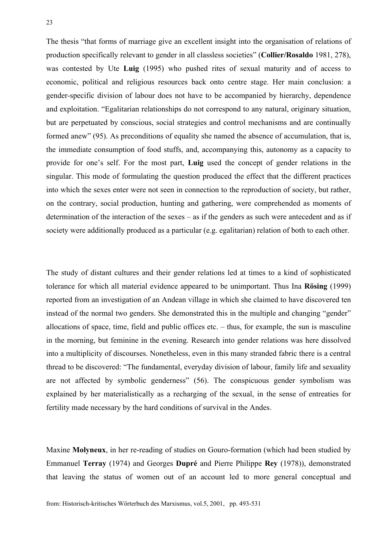The thesis "that forms of marriage give an excellent insight into the organisation of relations of production specifically relevant to gender in all classless societies" (**Collier/Rosaldo** 1981, 278), was contested by Ute **Luig** (1995) who pushed rites of sexual maturity and of access to economic, political and religious resources back onto centre stage. Her main conclusion: a gender-specific division of labour does not have to be accompanied by hierarchy, dependence and exploitation. "Egalitarian relationships do not correspond to any natural, originary situation, but are perpetuated by conscious, social strategies and control mechanisms and are continually formed anew" (95). As preconditions of equality she named the absence of accumulation, that is, the immediate consumption of food stuffs, and, accompanying this, autonomy as a capacity to provide for one's self. For the most part, **Luig** used the concept of gender relations in the singular. This mode of formulating the question produced the effect that the different practices into which the sexes enter were not seen in connection to the reproduction of society, but rather, on the contrary, social production, hunting and gathering, were comprehended as moments of determination of the interaction of the sexes – as if the genders as such were antecedent and as if society were additionally produced as a particular (e.g. egalitarian) relation of both to each other.

The study of distant cultures and their gender relations led at times to a kind of sophisticated tolerance for which all material evidence appeared to be unimportant. Thus Ina **Rösing** (1999) reported from an investigation of an Andean village in which she claimed to have discovered ten instead of the normal two genders. She demonstrated this in the multiple and changing "gender" allocations of space, time, field and public offices etc. – thus, for example, the sun is masculine in the morning, but feminine in the evening. Research into gender relations was here dissolved into a multiplicity of discourses. Nonetheless, even in this many stranded fabric there is a central thread to be discovered: "The fundamental, everyday division of labour, family life and sexuality are not affected by symbolic genderness" (56). The conspicuous gender symbolism was explained by her materialistically as a recharging of the sexual, in the sense of entreaties for fertility made necessary by the hard conditions of survival in the Andes.

Maxine **Molyneux**, in her re-reading of studies on Gouro-formation (which had been studied by Emmanuel **Terray** (1974) and Georges **Dupré** and Pierre Philippe **Rey** (1978)), demonstrated that leaving the status of women out of an account led to more general conceptual and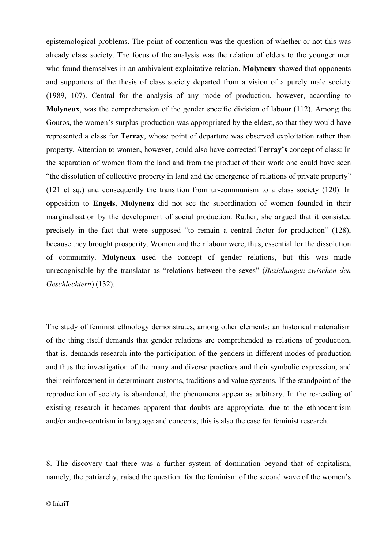epistemological problems. The point of contention was the question of whether or not this was already class society. The focus of the analysis was the relation of elders to the younger men who found themselves in an ambivalent exploitative relation. **Molyneux** showed that opponents and supporters of the thesis of class society departed from a vision of a purely male society (1989, 107). Central for the analysis of any mode of production, however, according to **Molyneux**, was the comprehension of the gender specific division of labour (112). Among the Gouros, the women's surplus-production was appropriated by the eldest, so that they would have represented a class for **Terray**, whose point of departure was observed exploitation rather than property. Attention to women, however, could also have corrected **Terray's** concept of class: In the separation of women from the land and from the product of their work one could have seen "the dissolution of collective property in land and the emergence of relations of private property" (121 et sq.) and consequently the transition from ur-communism to a class society (120). In opposition to **Engels**, **Molyneux** did not see the subordination of women founded in their marginalisation by the development of social production. Rather, she argued that it consisted precisely in the fact that were supposed "to remain a central factor for production" (128), because they brought prosperity. Women and their labour were, thus, essential for the dissolution of community. **Molyneux** used the concept of gender relations, but this was made unrecognisable by the translator as "relations between the sexes" (*Beziehungen zwischen den Geschlechtern*) (132).

The study of feminist ethnology demonstrates, among other elements: an historical materialism of the thing itself demands that gender relations are comprehended as relations of production, that is, demands research into the participation of the genders in different modes of production and thus the investigation of the many and diverse practices and their symbolic expression, and their reinforcement in determinant customs, traditions and value systems. If the standpoint of the reproduction of society is abandoned, the phenomena appear as arbitrary. In the re-reading of existing research it becomes apparent that doubts are appropriate, due to the ethnocentrism and/or andro-centrism in language and concepts; this is also the case for feminist research.

8. The discovery that there was a further system of domination beyond that of capitalism, namely, the patriarchy, raised the question for the feminism of the second wave of the women's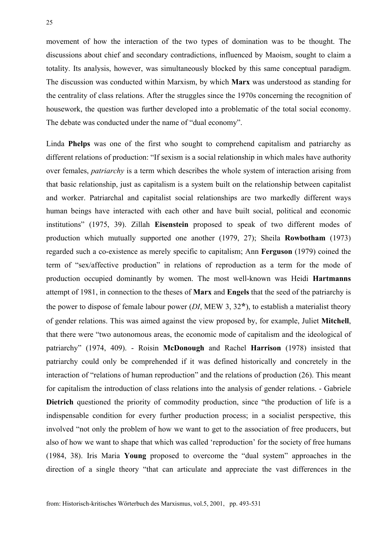movement of how the interaction of the two types of domination was to be thought. The discussions about chief and secondary contradictions, influenced by Maoism, sought to claim a totality. Its analysis, however, was simultaneously blocked by this same conceptual paradigm. The discussion was conducted within Marxism, by which **Marx** was understood as standing for the centrality of class relations. After the struggles since the 1970s concerning the recognition of housework, the question was further developed into a problematic of the total social economy. The debate was conducted under the name of "dual economy".

Linda **Phelps** was one of the first who sought to comprehend capitalism and patriarchy as different relations of production: "If sexism is a social relationship in which males have authority over females, *patriarchy* is a term which describes the whole system of interaction arising from that basic relationship, just as capitalism is a system built on the relationship between capitalist and worker. Patriarchal and capitalist social relationships are two markedly different ways human beings have interacted with each other and have built social, political and economic institutions" (1975, 39). Zillah **Eisenstein** proposed to speak of two different modes of production which mutually supported one another (1979, 27); Sheila **Rowbotham** (1973) regarded such a co-existence as merely specific to capitalism; Ann **Ferguson** (1979) coined the term of "sex/affective production" in relations of reproduction as a term for the mode of production occupied dominantly by women. The most well-known was Heidi **Hartmanns**  attempt of 1981, in connection to the theses of **Marx** and **Engels** that the seed of the patriarchy is the power to dispose of female labour power (*DI*, MEW 3, 32**\***), to establish a materialist theory of gender relations. This was aimed against the view proposed by, for example, Juliet **Mitchell**, that there were "two autonomous areas, the economic mode of capitalism and the ideological of patriarchy" (1974, 409). - Roisin **McDonough** and Rachel **Harrison** (1978) insisted that patriarchy could only be comprehended if it was defined historically and concretely in the interaction of "relations of human reproduction" and the relations of production (26). This meant for capitalism the introduction of class relations into the analysis of gender relations. - Gabriele Dietrich questioned the priority of commodity production, since "the production of life is a indispensable condition for every further production process; in a socialist perspective, this involved "not only the problem of how we want to get to the association of free producers, but also of how we want to shape that which was called 'reproduction' for the society of free humans (1984, 38). Iris Maria **Young** proposed to overcome the "dual system" approaches in the direction of a single theory "that can articulate and appreciate the vast differences in the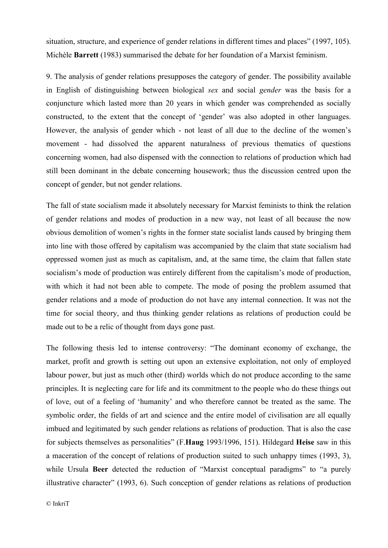situation, structure, and experience of gender relations in different times and places" (1997, 105). Michèle **Barrett** (1983) summarised the debate for her foundation of a Marxist feminism.

9. The analysis of gender relations presupposes the category of gender. The possibility available in English of distinguishing between biological *sex* and social *gender* was the basis for a conjuncture which lasted more than 20 years in which gender was comprehended as socially constructed, to the extent that the concept of 'gender' was also adopted in other languages. However, the analysis of gender which - not least of all due to the decline of the women's movement - had dissolved the apparent naturalness of previous thematics of questions concerning women, had also dispensed with the connection to relations of production which had still been dominant in the debate concerning housework; thus the discussion centred upon the concept of gender, but not gender relations.

The fall of state socialism made it absolutely necessary for Marxist feminists to think the relation of gender relations and modes of production in a new way, not least of all because the now obvious demolition of women's rights in the former state socialist lands caused by bringing them into line with those offered by capitalism was accompanied by the claim that state socialism had oppressed women just as much as capitalism, and, at the same time, the claim that fallen state socialism's mode of production was entirely different from the capitalism's mode of production, with which it had not been able to compete. The mode of posing the problem assumed that gender relations and a mode of production do not have any internal connection. It was not the time for social theory, and thus thinking gender relations as relations of production could be made out to be a relic of thought from days gone past.

The following thesis led to intense controversy: "The dominant economy of exchange, the market, profit and growth is setting out upon an extensive exploitation, not only of employed labour power, but just as much other (third) worlds which do not produce according to the same principles. It is neglecting care for life and its commitment to the people who do these things out of love, out of a feeling of 'humanity' and who therefore cannot be treated as the same. The symbolic order, the fields of art and science and the entire model of civilisation are all equally imbued and legitimated by such gender relations as relations of production. That is also the case for subjects themselves as personalities" (F.**Haug** 1993/1996, 151). Hildegard **Heise** saw in this a maceration of the concept of relations of production suited to such unhappy times (1993, 3), while Ursula **Beer** detected the reduction of "Marxist conceptual paradigms" to "a purely illustrative character" (1993, 6). Such conception of gender relations as relations of production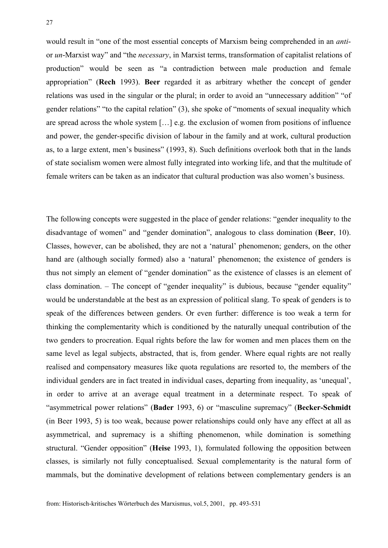would result in "one of the most essential concepts of Marxism being comprehended in an *anti*or *un*-Marxist way" and "the *necessary*, in Marxist terms, transformation of capitalist relations of production" would be seen as "a contradiction between male production and female appropriation" (**Rech** 1993). **Beer** regarded it as arbitrary whether the concept of gender relations was used in the singular or the plural; in order to avoid an "unnecessary addition" "of gender relations" "to the capital relation" (3), she spoke of "moments of sexual inequality which are spread across the whole system […] e.g. the exclusion of women from positions of influence and power, the gender-specific division of labour in the family and at work, cultural production as, to a large extent, men's business" (1993, 8). Such definitions overlook both that in the lands of state socialism women were almost fully integrated into working life, and that the multitude of female writers can be taken as an indicator that cultural production was also women's business.

The following concepts were suggested in the place of gender relations: "gender inequality to the disadvantage of women" and "gender domination", analogous to class domination (**Beer**, 10). Classes, however, can be abolished, they are not a 'natural' phenomenon; genders, on the other hand are (although socially formed) also a 'natural' phenomenon; the existence of genders is thus not simply an element of "gender domination" as the existence of classes is an element of class domination. – The concept of "gender inequality" is dubious, because "gender equality" would be understandable at the best as an expression of political slang. To speak of genders is to speak of the differences between genders. Or even further: difference is too weak a term for thinking the complementarity which is conditioned by the naturally unequal contribution of the two genders to procreation. Equal rights before the law for women and men places them on the same level as legal subjects, abstracted, that is, from gender. Where equal rights are not really realised and compensatory measures like quota regulations are resorted to, the members of the individual genders are in fact treated in individual cases, departing from inequality, as 'unequal', in order to arrive at an average equal treatment in a determinate respect. To speak of "asymmetrical power relations" (**Bader** 1993, 6) or "masculine supremacy" (**Becker-Schmidt** (in Beer 1993, 5) is too weak, because power relationships could only have any effect at all as asymmetrical, and supremacy is a shifting phenomenon, while domination is something structural. "Gender opposition" (**Heise** 1993, 1), formulated following the opposition between classes, is similarly not fully conceptualised. Sexual complementarity is the natural form of mammals, but the dominative development of relations between complementary genders is an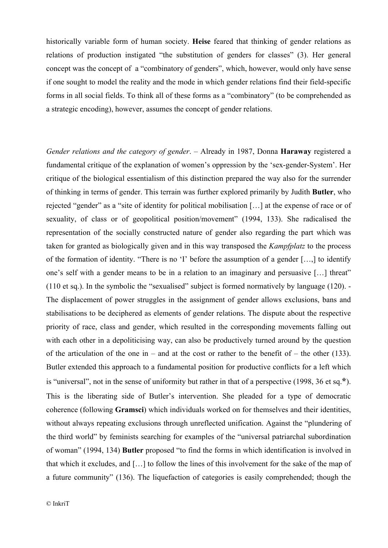historically variable form of human society. **Heise** feared that thinking of gender relations as relations of production instigated "the substitution of genders for classes" (3). Her general concept was the concept of a "combinatory of genders", which, however, would only have sense if one sought to model the reality and the mode in which gender relations find their field-specific forms in all social fields. To think all of these forms as a "combinatory" (to be comprehended as a strategic encoding), however, assumes the concept of gender relations.

*Gender relations and the category of gender*. – Already in 1987, Donna **Haraway** registered a fundamental critique of the explanation of women's oppression by the 'sex-gender-System'. Her critique of the biological essentialism of this distinction prepared the way also for the surrender of thinking in terms of gender. This terrain was further explored primarily by Judith **Butler**, who rejected "gender" as a "site of identity for political mobilisation […] at the expense of race or of sexuality, of class or of geopolitical position/movement" (1994, 133). She radicalised the representation of the socially constructed nature of gender also regarding the part which was taken for granted as biologically given and in this way transposed the *Kampfplatz* to the process of the formation of identity. "There is no 'I' before the assumption of a gender […,] to identify one's self with a gender means to be in a relation to an imaginary and persuasive […] threat" (110 et sq.). In the symbolic the "sexualised" subject is formed normatively by language (120). - The displacement of power struggles in the assignment of gender allows exclusions, bans and stabilisations to be deciphered as elements of gender relations. The dispute about the respective priority of race, class and gender, which resulted in the corresponding movements falling out with each other in a depoliticising way, can also be productively turned around by the question of the articulation of the one in – and at the cost or rather to the benefit of – the other (133). Butler extended this approach to a fundamental position for productive conflicts for a left which is "universal", not in the sense of uniformity but rather in that of a perspective (1998, 36 et sq.**\***). This is the liberating side of Butler's intervention. She pleaded for a type of democratic coherence (following **Gramsci**) which individuals worked on for themselves and their identities, without always repeating exclusions through unreflected unification. Against the "plundering of the third world" by feminists searching for examples of the "universal patriarchal subordination of woman" (1994, 134) **Butler** proposed "to find the forms in which identification is involved in that which it excludes, and […] to follow the lines of this involvement for the sake of the map of a future community" (136). The liquefaction of categories is easily comprehended; though the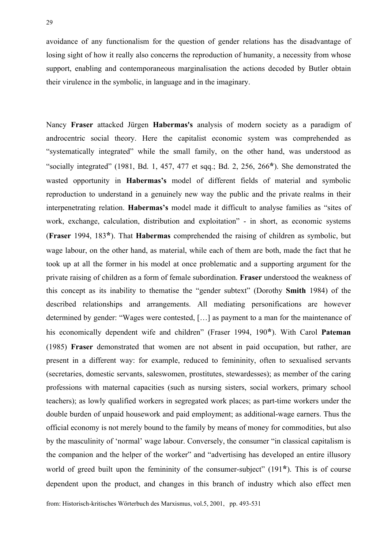avoidance of any functionalism for the question of gender relations has the disadvantage of losing sight of how it really also concerns the reproduction of humanity, a necessity from whose support, enabling and contemporaneous marginalisation the actions decoded by Butler obtain their virulence in the symbolic, in language and in the imaginary.

Nancy **Fraser** attacked Jürgen **Habermas's** analysis of modern society as a paradigm of androcentric social theory. Here the capitalist economic system was comprehended as "systematically integrated" while the small family, on the other hand, was understood as "socially integrated" (1981, Bd. 1, 457, 477 et sqq.; Bd. 2, 256, 266**\***). She demonstrated the wasted opportunity in **Habermas's** model of different fields of material and symbolic reproduction to understand in a genuinely new way the public and the private realms in their interpenetrating relation. **Habermas's** model made it difficult to analyse families as "sites of work, exchange, calculation, distribution and exploitation" - in short, as economic systems (**Fraser** 1994, 183**\***). That **Habermas** comprehended the raising of children as symbolic, but wage labour, on the other hand, as material, while each of them are both, made the fact that he took up at all the former in his model at once problematic and a supporting argument for the private raising of children as a form of female subordination. **Fraser** understood the weakness of this concept as its inability to thematise the "gender subtext" (Dorothy **Smith** 1984) of the described relationships and arrangements. All mediating personifications are however determined by gender: "Wages were contested, […] as payment to a man for the maintenance of his economically dependent wife and children" (Fraser 1994, 190**\***). With Carol **Pateman**  (1985) **Fraser** demonstrated that women are not absent in paid occupation, but rather, are present in a different way: for example, reduced to femininity, often to sexualised servants (secretaries, domestic servants, saleswomen, prostitutes, stewardesses); as member of the caring professions with maternal capacities (such as nursing sisters, social workers, primary school teachers); as lowly qualified workers in segregated work places; as part-time workers under the double burden of unpaid housework and paid employment; as additional-wage earners. Thus the official economy is not merely bound to the family by means of money for commodities, but also by the masculinity of 'normal' wage labour. Conversely, the consumer "in classical capitalism is the companion and the helper of the worker" and "advertising has developed an entire illusory world of greed built upon the femininity of the consumer-subject" (191**\***). This is of course dependent upon the product, and changes in this branch of industry which also effect men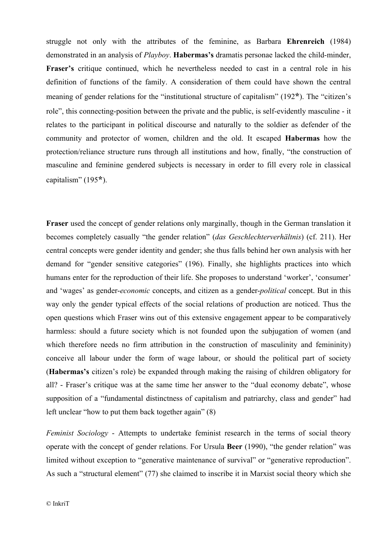struggle not only with the attributes of the feminine, as Barbara **Ehrenreich** (1984) demonstrated in an analysis of *Playboy*. **Habermas's** dramatis personae lacked the child-minder, **Fraser's** critique continued, which he nevertheless needed to cast in a central role in his definition of functions of the family. A consideration of them could have shown the central meaning of gender relations for the "institutional structure of capitalism" (192**\***). The "citizen's role", this connecting-position between the private and the public, is self-evidently masculine - it relates to the participant in political discourse and naturally to the soldier as defender of the community and protector of women, children and the old. It escaped **Habermas** how the protection/reliance structure runs through all institutions and how, finally, "the construction of masculine and feminine gendered subjects is necessary in order to fill every role in classical capitalism" (195**\***).

**Fraser** used the concept of gender relations only marginally, though in the German translation it becomes completely casually "the gender relation" (*das Geschlechterverhältnis*) (cf. 211). Her central concepts were gender identity and gender; she thus falls behind her own analysis with her demand for "gender sensitive categories" (196). Finally, she highlights practices into which humans enter for the reproduction of their life. She proposes to understand 'worker', 'consumer' and 'wages' as gender-*economic* concepts, and citizen as a gender-*political* concept. But in this way only the gender typical effects of the social relations of production are noticed. Thus the open questions which Fraser wins out of this extensive engagement appear to be comparatively harmless: should a future society which is not founded upon the subjugation of women (and which therefore needs no firm attribution in the construction of masculinity and femininity) conceive all labour under the form of wage labour, or should the political part of society (**Habermas's** citizen's role) be expanded through making the raising of children obligatory for all? - Fraser's critique was at the same time her answer to the "dual economy debate", whose supposition of a "fundamental distinctness of capitalism and patriarchy, class and gender" had left unclear "how to put them back together again" (8)

*Feminist Sociology* - Attempts to undertake feminist research in the terms of social theory operate with the concept of gender relations. For Ursula **Beer** (1990), "the gender relation" was limited without exception to "generative maintenance of survival" or "generative reproduction". As such a "structural element" (77) she claimed to inscribe it in Marxist social theory which she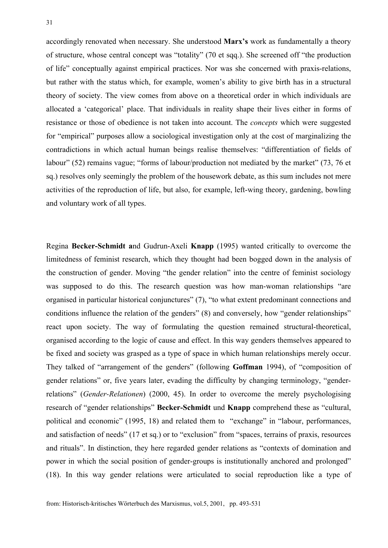accordingly renovated when necessary. She understood **Marx's** work as fundamentally a theory of structure, whose central concept was "totality" (70 et sqq.). She screened off "the production of life" conceptually against empirical practices. Nor was she concerned with praxis-relations, but rather with the status which, for example, women's ability to give birth has in a structural theory of society. The view comes from above on a theoretical order in which individuals are allocated a 'categorical' place. That individuals in reality shape their lives either in forms of resistance or those of obedience is not taken into account. The *concepts* which were suggested for "empirical" purposes allow a sociological investigation only at the cost of marginalizing the contradictions in which actual human beings realise themselves: "differentiation of fields of labour" (52) remains vague; "forms of labour/production not mediated by the market" (73, 76 et sq.) resolves only seemingly the problem of the housework debate, as this sum includes not mere activities of the reproduction of life, but also, for example, left-wing theory, gardening, bowling and voluntary work of all types.

Regina **Becker-Schmidt a**nd Gudrun-Axeli **Knapp** (1995) wanted critically to overcome the limitedness of feminist research, which they thought had been bogged down in the analysis of the construction of gender. Moving "the gender relation" into the centre of feminist sociology was supposed to do this. The research question was how man-woman relationships "are organised in particular historical conjunctures" (7), "to what extent predominant connections and conditions influence the relation of the genders" (8) and conversely, how "gender relationships" react upon society. The way of formulating the question remained structural-theoretical, organised according to the logic of cause and effect. In this way genders themselves appeared to be fixed and society was grasped as a type of space in which human relationships merely occur. They talked of "arrangement of the genders" (following **Goffman** 1994), of "composition of gender relations" or, five years later, evading the difficulty by changing terminology, "genderrelations" (*Gender-Relationen*) (2000, 45). In order to overcome the merely psychologising research of "gender relationships" **Becker-Schmidt** und **Knapp** comprehend these as "cultural, political and economic" (1995, 18) and related them to "exchange" in "labour, performances, and satisfaction of needs" (17 et sq.) or to "exclusion" from "spaces, terrains of praxis, resources and rituals". In distinction, they here regarded gender relations as "contexts of domination and power in which the social position of gender-groups is institutionally anchored and prolonged" (18). In this way gender relations were articulated to social reproduction like a type of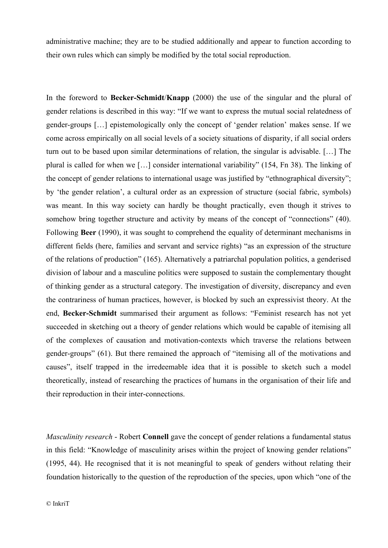administrative machine; they are to be studied additionally and appear to function according to their own rules which can simply be modified by the total social reproduction.

In the foreword to **Becker-Schmidt**/**Knapp** (2000) the use of the singular and the plural of gender relations is described in this way: "If we want to express the mutual social relatedness of gender-groups […] epistemologically only the concept of 'gender relation' makes sense. If we come across empirically on all social levels of a society situations of disparity, if all social orders turn out to be based upon similar determinations of relation, the singular is advisable. […] The plural is called for when we […] consider international variability" (154, Fn 38). The linking of the concept of gender relations to international usage was justified by "ethnographical diversity"; by 'the gender relation', a cultural order as an expression of structure (social fabric, symbols) was meant. In this way society can hardly be thought practically, even though it strives to somehow bring together structure and activity by means of the concept of "connections" (40). Following **Beer** (1990), it was sought to comprehend the equality of determinant mechanisms in different fields (here, families and servant and service rights) "as an expression of the structure of the relations of production" (165). Alternatively a patriarchal population politics, a genderised division of labour and a masculine politics were supposed to sustain the complementary thought of thinking gender as a structural category. The investigation of diversity, discrepancy and even the contrariness of human practices, however, is blocked by such an expressivist theory. At the end, **Becker-Schmidt** summarised their argument as follows: "Feminist research has not yet succeeded in sketching out a theory of gender relations which would be capable of itemising all of the complexes of causation and motivation-contexts which traverse the relations between gender-groups" (61). But there remained the approach of "itemising all of the motivations and causes", itself trapped in the irredeemable idea that it is possible to sketch such a model theoretically, instead of researching the practices of humans in the organisation of their life and their reproduction in their inter-connections.

*Masculinity research* - Robert **Connell** gave the concept of gender relations a fundamental status in this field: "Knowledge of masculinity arises within the project of knowing gender relations" (1995, 44). He recognised that it is not meaningful to speak of genders without relating their foundation historically to the question of the reproduction of the species, upon which "one of the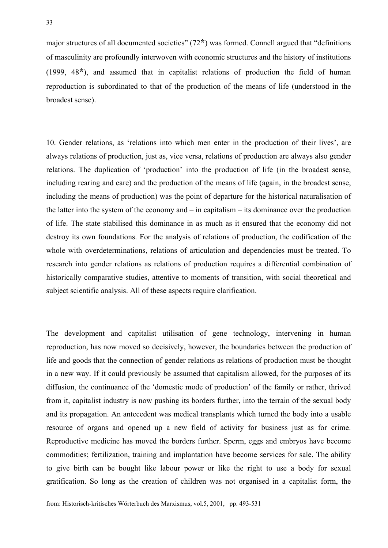major structures of all documented societies" (72**\***) was formed. Connell argued that "definitions of masculinity are profoundly interwoven with economic structures and the history of institutions (1999, 48**\***), and assumed that in capitalist relations of production the field of human reproduction is subordinated to that of the production of the means of life (understood in the broadest sense).

10. Gender relations, as 'relations into which men enter in the production of their lives', are always relations of production, just as, vice versa, relations of production are always also gender relations. The duplication of 'production' into the production of life (in the broadest sense, including rearing and care) and the production of the means of life (again, in the broadest sense, including the means of production) was the point of departure for the historical naturalisation of the latter into the system of the economy and – in capitalism – its dominance over the production of life. The state stabilised this dominance in as much as it ensured that the economy did not destroy its own foundations. For the analysis of relations of production, the codification of the whole with overdeterminations, relations of articulation and dependencies must be treated. To research into gender relations as relations of production requires a differential combination of historically comparative studies, attentive to moments of transition, with social theoretical and subject scientific analysis. All of these aspects require clarification.

The development and capitalist utilisation of gene technology, intervening in human reproduction, has now moved so decisively, however, the boundaries between the production of life and goods that the connection of gender relations as relations of production must be thought in a new way. If it could previously be assumed that capitalism allowed, for the purposes of its diffusion, the continuance of the 'domestic mode of production' of the family or rather, thrived from it, capitalist industry is now pushing its borders further, into the terrain of the sexual body and its propagation. An antecedent was medical transplants which turned the body into a usable resource of organs and opened up a new field of activity for business just as for crime. Reproductive medicine has moved the borders further. Sperm, eggs and embryos have become commodities; fertilization, training and implantation have become services for sale. The ability to give birth can be bought like labour power or like the right to use a body for sexual gratification. So long as the creation of children was not organised in a capitalist form, the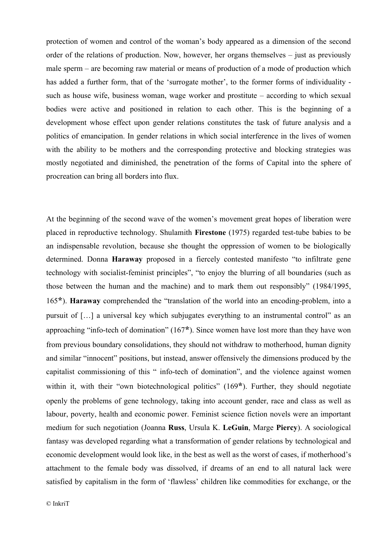protection of women and control of the woman's body appeared as a dimension of the second order of the relations of production. Now, however, her organs themselves – just as previously male sperm – are becoming raw material or means of production of a mode of production which has added a further form, that of the 'surrogate mother', to the former forms of individuality such as house wife, business woman, wage worker and prostitute – according to which sexual bodies were active and positioned in relation to each other. This is the beginning of a development whose effect upon gender relations constitutes the task of future analysis and a politics of emancipation. In gender relations in which social interference in the lives of women with the ability to be mothers and the corresponding protective and blocking strategies was mostly negotiated and diminished, the penetration of the forms of Capital into the sphere of procreation can bring all borders into flux.

At the beginning of the second wave of the women's movement great hopes of liberation were placed in reproductive technology. Shulamith **Firestone** (1975) regarded test-tube babies to be an indispensable revolution, because she thought the oppression of women to be biologically determined. Donna **Haraway** proposed in a fiercely contested manifesto "to infiltrate gene technology with socialist-feminist principles", "to enjoy the blurring of all boundaries (such as those between the human and the machine) and to mark them out responsibly" (1984/1995, 165**\***). **Haraway** comprehended the "translation of the world into an encoding-problem, into a pursuit of […] a universal key which subjugates everything to an instrumental control" as an approaching "info-tech of domination" (167**\***). Since women have lost more than they have won from previous boundary consolidations, they should not withdraw to motherhood, human dignity and similar "innocent" positions, but instead, answer offensively the dimensions produced by the capitalist commissioning of this " info-tech of domination", and the violence against women within it, with their "own biotechnological politics" (169<sup>\*</sup>). Further, they should negotiate openly the problems of gene technology, taking into account gender, race and class as well as labour, poverty, health and economic power. Feminist science fiction novels were an important medium for such negotiation (Joanna **Russ**, Ursula K. **LeGuin**, Marge **Piercy**). A sociological fantasy was developed regarding what a transformation of gender relations by technological and economic development would look like, in the best as well as the worst of cases, if motherhood's attachment to the female body was dissolved, if dreams of an end to all natural lack were satisfied by capitalism in the form of 'flawless' children like commodities for exchange, or the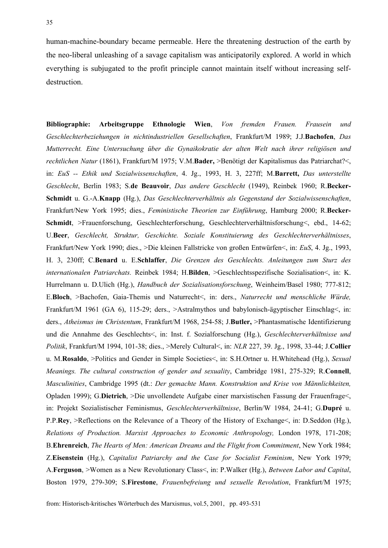human-machine-boundary became permeable. Here the threatening destruction of the earth by the neo-liberal unleashing of a savage capitalism was anticipatorily explored. A world in which everything is subjugated to the profit principle cannot maintain itself without increasing selfdestruction.

**Bibliographie: Arbeitsgruppe Ethnologie Wien**, *Von fremden Frauen. Frausein und Geschlechterbeziehungen in nichtindustriellen Gesellschaften*, Frankfurt/M 1989; J.J.**Bachofen**, *Das Mutterrecht. Eine Untersuchung über die Gynaikokratie der alten Welt nach ihrer religiösen und rechtlichen Natur* (1861), Frankfurt/M 1975; V.M.**Bader,** >Benötigt der Kapitalismus das Patriarchat?<, in: *EuS -- Ethik und Sozialwissenschaften*, 4. Jg., 1993, H. 3, 227ff; M.**Barrett,** *Das unterstellte Geschlecht*, Berlin 1983; S.**de Beauvoir**, *Das andere Geschlecht* (1949), Reinbek 1960; R.**Becker-Schmidt** u. G.-A.**Knapp** (Hg.), *Das Geschlechterverhältnis als Gegenstand der Sozialwissenschaften*, Frankfurt/New York 1995; dies., *Feministische Theorien zur Einführung*, Hamburg 2000; R.**Becker-Schmidt**, >Frauenforschung, Geschlechterforschung, Geschlechterverhältnisforschung<, ebd., 14-62; U.**Beer**, *Geschlecht, Struktur, Geschichte. Soziale Konstituierung des Geschlechterverhältnisses*, Frankfurt/New York 1990; dies., >Die kleinen Fallstricke von großen Entwürfen<, in: *EuS*, 4. Jg., 1993, H. 3, 230ff; C.**Benard** u. E.**Schlaffer**, *Die Grenzen des Geschlechts. Anleitungen zum Sturz des internationalen Patriarchats.* Reinbek 1984; H.**Bilden**, >Geschlechtsspezifische Sozialisation<, in: K. Hurrelmann u. D.Ulich (Hg.), *Handbuch der Sozialisationsforschung*, Weinheim/Basel 1980; 777-812; E.**Bloch**, >Bachofen, Gaia-Themis und Naturrecht<, in: ders., *Naturrecht und menschliche Würde,*  Frankfurt/M 1961 (GA 6), 115-29; ders., >Astralmythos und babylonisch-ägyptischer Einschlag<, in: ders., *Atheismus im Christentum*, Frankfurt/M 1968, 254-58; J.**Butler,** >Phantasmatische Identifizierung und die Annahme des Geschlechts<, in: Inst. f. Sozialforschung (Hg.), *Geschlechterverhältnisse und Politik*, Frankfurt/M 1994, 101-38; dies., >Merely Cultural<, in: *NLR* 227, 39. Jg., 1998, 33-44; J.**Collier** u. M.**Rosaldo**, >Politics and Gender in Simple Societies<, in: S.H.Ortner u. H.Whitehead (Hg.), *Sexual Meanings. The cultural construction of gender and sexuality*, Cambridge 1981, 275-329; R.**Connell**, *Masculinities*, Cambridge 1995 (dt.: *Der gemachte Mann. Konstruktion und Krise von Männlichkeiten,*  Opladen 1999); G.**Dietrich**, >Die unvollendete Aufgabe einer marxistischen Fassung der Frauenfrage<, in: Projekt Sozialistischer Feminismus, *Geschlechterverhältnisse*, Berlin/W 1984, 24-41; G.**Dupré** u. P.P.**Rey**, >Reflections on the Relevance of a Theory of the History of Exchange<, in: D.Seddon (Hg.), *Relations of Production. Marxist Approaches to Economic Anthropology,* London 1978, 171-208; B.**Ehrenreich**, *The Hearts of Men: American Dreams and the Flight from Commitment*, New York 1984; Z.**Eisenstein** (Hg.), *Capitalist Patriarchy and the Case for Socialist Feminism*, New York 1979; A.**Ferguson**, >Women as a New Revolutionary Class<, in: P.Walker (Hg.), *Between Labor and Capital*, Boston 1979, 279-309; S.**Firestone**, *Frauenbefreiung und sexuelle Revolution*, Frankfurt/M 1975;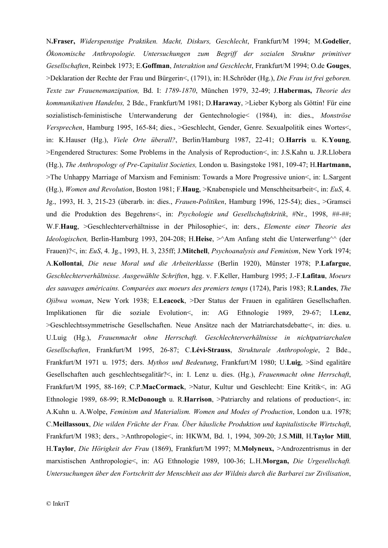N**.Fraser,** *Widerspenstige Praktiken. Macht, Diskurs, Geschlecht*, Frankfurt/M 1994; M.**Godelier**, *Ökonomische Anthropologie. Untersuchungen zum Begriff der sozialen Struktur primitiver Gesellschaften*, Reinbek 1973; E.**Goffman**, *Interaktion und Geschlecht*, Frankfurt/M 1994; O.de **Gouges**, >Deklaration der Rechte der Frau und Bürgerin<, (1791), in: H.Schröder (Hg.), *Die Frau ist frei geboren. Texte zur Frauenemanzipation,* Bd. I: *1789-1870*, München 1979, 32-49; J.**Habermas,** *Theorie des kommunikativen Handelns,* 2 Bde., Frankfurt/M 1981; D.**Haraway**, >Lieber Kyborg als Göttin! Für eine sozialistisch-feministische Unterwanderung der Gentechnologie< (1984), in: dies., *Monströse Versprechen*, Hamburg 1995, 165-84; dies., >Geschlecht, Gender, Genre. Sexualpolitik eines Wortes<, in: K.Hauser (Hg.), *Viele Orte überall?*, Berlin/Hamburg 1987, 22-41; O.**Harris** u. K.**Young**, >Engendered Structures: Some Problems in the Analysis of Reproduction<, in: J.S.Kahn u. J.R.Llobera (Hg.), *The Anthropology of Pre-Capitalist Societies,* London u. Basingstoke 1981, 109-47; H.**Hartmann,**  >The Unhappy Marriage of Marxism and Feminism: Towards a More Progressive union<, in: L.Sargent (Hg.), *Women and Revolution*, Boston 1981; F.**Haug**, >Knabenspiele und Menschheitsarbeit<, in: *EuS*, 4. Jg., 1993, H. 3, 215-23 (überarb. in: dies., *Frauen*-*Politiken*, Hamburg 1996, 125-54); dies., >Gramsci und die Produktion des Begehrens<, in: *Psychologie und Gesellschaftskritik*, #Nr., 1998, ##-##; W.F.**Haug**, >Geschlechterverhältnisse in der Philosophie<, in: ders., *Elemente einer Theorie des Ideologischen,* Berlin-Hamburg 1993, 204-208; H.**Heise**, >^Am Anfang steht die Unterwerfung^^ (der Frauen)?<, in: *EuS*, 4. Jg., 1993, H. 3, 235ff; J.**Mitchell**, *Psychoanalysis and Feminism*, New York 1974; A.**Kollontai**, *Die neue Moral und die Arbeiterklasse* (Berlin 1920), Münster 1978; P.**Lafargue**, *Geschlechterverhältnisse. Ausgewählte Schriften*, hgg. v. F.Keller, Hamburg 1995; J.-F.**Lafitau**, *Moeurs des sauvages américains. Comparées aux moeurs des premiers temps* (1724), Paris 1983; R.**Landes**, *The Ojibwa woman*, New York 1938; E.**Leacock**, >Der Status der Frauen in egalitären Gesellschaften. Implikationen für die soziale Evolution<, in: AG Ethnologie 1989, 29-67; I.**Lenz**, >Geschlechtssymmetrische Gesellschaften. Neue Ansätze nach der Matriarchatsdebatte<, in: dies. u. U.Luig (Hg.), *Frauenmacht ohne Herrschaft. Geschlechterverhältnisse in nichtpatriarchalen Gesellschaften*, Frankfurt/M 1995, 26-87; C.**Lévi-Strauss**, *Strukturale Anthropologie*, 2 Bde., Frankfurt/M 1971 u. 1975; ders. *Mythos und Bedeutung*, Frankfurt/M 1980; U.**Luig**, >Sind egalitäre Gesellschaften auch geschlechtsegalitär?<, in: I. Lenz u. dies. (Hg.), *Frauenmacht ohne Herrschaft*, Frankfurt/M 1995, 88-169; C.P.**MacCormack**, >Natur, Kultur und Geschlecht: Eine Kritik<, in: AG Ethnologie 1989, 68-99; R.**McDonough** u. R.**Harrison**, >Patriarchy and relations of production<, in: A.Kuhn u. A.Wolpe, *Feminism and Materialism. Women and Modes of Production*, London u.a. 1978; C.**Meillassoux**, *Die wilden Früchte der Frau. Über häusliche Produktion und kapitalistische Wirtschaft*, Frankfurt/M 1983; ders., >Anthropologie<, in: HKWM, Bd. 1, 1994, 309-20; J.S.**Mill**, H.**Taylor Mill**, H.**Taylor**, *Die Hörigkeit der Frau* (1869), Frankfurt/M 1997; M.**Molyneux,** >Androzentrismus in der marxistischen Anthropologie<, in: AG Ethnologie 1989, 100-36; L.H.**Morgan,** *Die Urgesellschaft. Untersuchungen über den Fortschritt der Menschheit aus der Wildnis durch die Barbarei zur Zivilisation*,